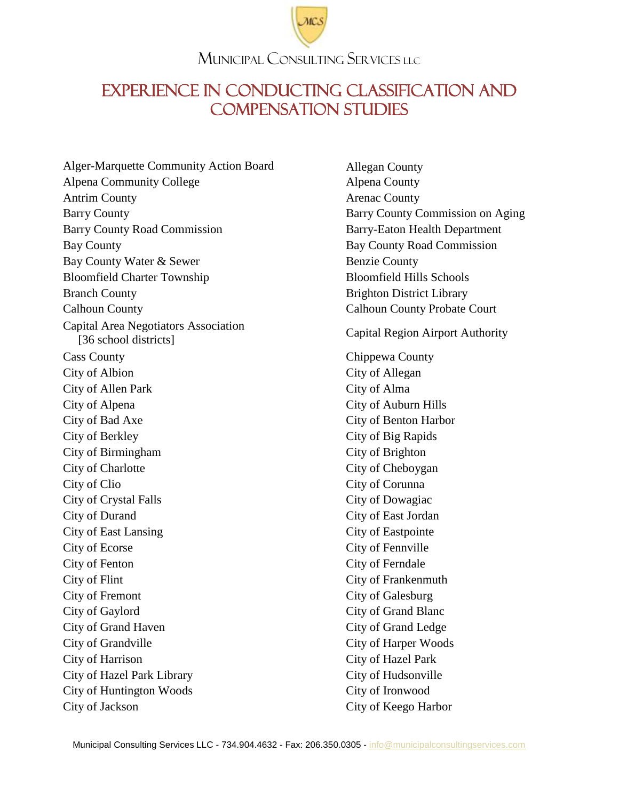#### MUNICIPAL CONSULTING SERVICES LLC

### EXPERIENCE IN CONDUCTING CLASSIFICATION AND COMPENSATION STUDIES

Alger-Marquette Community Action Board Allegan County Alpena Community College Alpena County Antrim County **Arenac County** Arenac County Barry County **Barry County** Barry County Commission on Aging Barry County Road Commission Barry-Eaton Health Department Bay County Bay County Road Commission Bay County Water & Sewer Benzie County Bloomfield Charter Township Bloomfield Hills Schools Branch County **Branch County** Brighton District Library Calhoun County Calhoun County Probate Court Capital Area Negotiators Association Francis Region Airport Authority<br>
[36 school districts] Capital Region Airport Authority Cass County Chippewa County City of Albion City of Allegan City of Allen Park City of Alma City of Alpena City of Auburn Hills City of Bad Axe City of Benton Harbor City of Berkley City of Big Rapids City of Birmingham City of Brighton City of Charlotte City of Cheboygan City of Clio City of Corunna City of Crystal Falls City of Dowagiac City of Durand City of East Jordan City of East Lansing City of Eastpointe City of Ecorse City of Fennville City of Fenton City of Ferndale City of Flint City of Frankenmuth City of Fremont City of Galesburg City of Gaylord City of Grand Blanc City of Grand Haven City of Grand Ledge City of Grandville City of Harper Woods City of Harrison City of Hazel Park City of Hazel Park Library City of Hudsonville City of Huntington Woods City of Ironwood City of Jackson City of Keego Harbor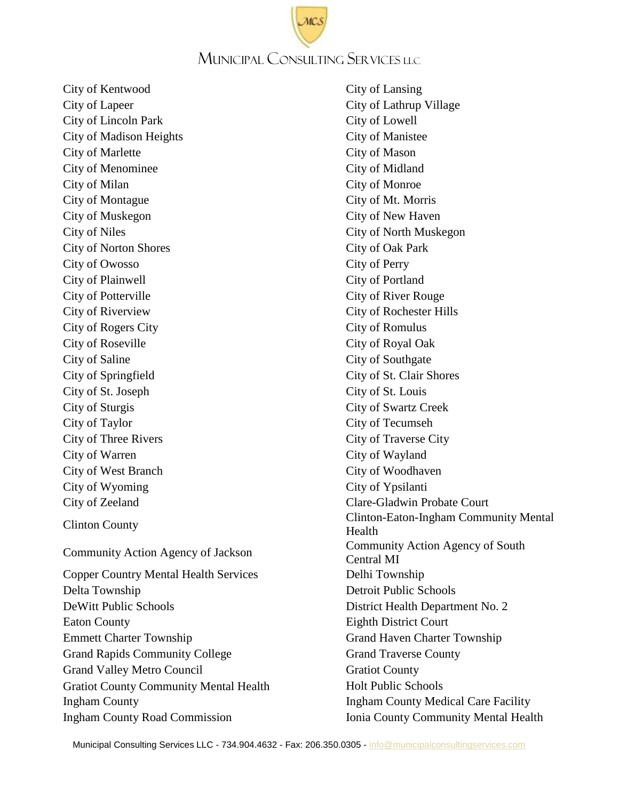### MUNICIPAL CONSULTING SERVICES LLC

City of Kentwood City of Lansing City of Lapeer City of Lathrup Village City of Lincoln Park City of Lowell City of Madison Heights City of Manistee City of Marlette City of Mason City of Menominee City of Midland City of Milan City of Monroe City of Montague City of Mt. Morris City of Muskegon City of New Haven City of Niles City of North Muskegon City of Norton Shores City of Oak Park City of Owosso City of Perry City of Plainwell City of Portland City of Potterville City of River Rouge City of Riverview City of Rochester Hills City of Rogers City City City of Romulus City of Roseville City of Royal Oak City of Saline City of Southgate City of Springfield City of St. Clair Shores City of St. Joseph City of St. Louis City of Sturgis City of Swartz Creek City of Taylor City of Tecumseh City of Three Rivers City City of Traverse City City of Warren City of Wayland City of West Branch City of Woodhaven City of Wyoming City of Ypsilanti Copper Country Mental Health Services Delhi Township Delta Township Detroit Public Schools

City of Zeeland Clare-Gladwin Probate Court Clinton County Clinton-Eaton-Ingham Community Mental Health Community Action Agency of Jackson Community Action Agency of South Central MI DeWitt Public Schools District Health Department No. 2 Eaton County **Eighth District Court** Emmett Charter Township Grand Haven Charter Township Grand Rapids Community College Grand Traverse County Grand Valley Metro Council Grand Gratiot County Gratiot County Community Mental Health Holt Public Schools Ingham County Ingham County Medical Care Facility Ingham County Road Commission Ionia County Community Mental Health

Municipal Consulting Services LLC - 734.904.4632 - Fax: 206.350.0305 - [info@municipalconsultingservices.com](mailto:info@municipalconsultingservices.com)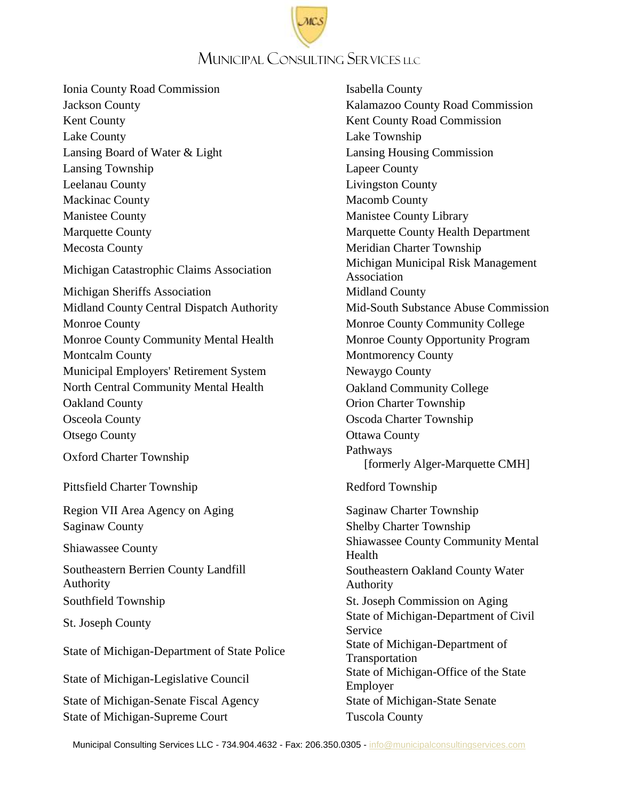## MUNICIPAL CONSULTING SERVICES LLC

Ionia County Road Commission Isabella County Jackson County Kalamazoo County Road Commission Kent County **Kent County Road Commission** Lake County Lake Township Lansing Board of Water & Light Lansing Housing Commission Lansing Township Lapeer County Leelanau County Livingston County Mackinac County Macomb County Manistee County Manistee County Library Marquette County Marquette County Health Department Mecosta County **Meridian Charter Township** Michigan Catastrophic Claims Association Michigan Municipal Risk Management Michigan Sheriffs Association Midland County Midland County Central Dispatch Authority Mid-South Substance Abuse Commission Monroe County **Monroe County** Monroe County College Monroe County Community Mental Health Monroe County Opportunity Program Montcalm County **Montcalm County** Montmorency County Municipal Employers' Retirement System Newaygo County North Central Community Mental Health **Oakland Community College** Oakland County Orion Charter Township Osceola County Oscoda Charter Township Otsego County **Otsego County Ottawa County** Oxford Charter Township Pathways

Pittsfield Charter Township Redford Township

Region VII Area Agency on Aging Saginaw Charter Township Saginaw County Shelby Charter Township

Southeastern Berrien County Landfill Authority

State of Michigan-Senate Fiscal Agency State of Michigan-State Senate State of Michigan-Supreme Court Tuscola County

Association [formerly Alger-Marquette CMH] Shiawassee County<br>
Shiawassee County<br>
Mental<br>
Multiple Shiawassee County Community Mental Health Southeastern Oakland County Water Authority Southfield Township St. Joseph Commission on Aging St. Joseph County St. Joseph County Service State of Michigan-Department of State Police State of Michigan-Department of Transportation State of Michigan-Legislative Council State of Michigan-Office of the State Employer